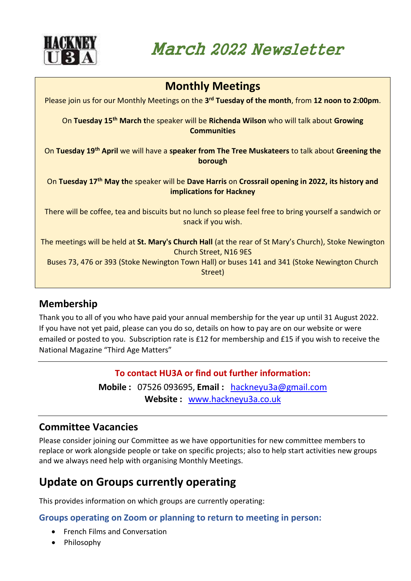

March 2022 Newsletter

| <b>Monthly Meetings</b>                                                                                                                          |
|--------------------------------------------------------------------------------------------------------------------------------------------------|
| Please join us for our Monthly Meetings on the 3 <sup>rd</sup> Tuesday of the month, from 12 noon to 2:00pm.                                     |
| On Tuesday 15 <sup>th</sup> March the speaker will be Richenda Wilson who will talk about Growing<br><b>Communities</b>                          |
| On Tuesday 19th April we will have a speaker from The Tree Muskateers to talk about Greening the<br>borough                                      |
| On Tuesday 17 <sup>th</sup> May the speaker will be Dave Harris on Crossrail opening in 2022, its history and<br><b>implications for Hackney</b> |
| There will be coffee, tea and biscuits but no lunch so please feel free to bring yourself a sandwich or<br>snack if you wish.                    |
| The meetings will be held at St. Mary's Church Hall (at the rear of St Mary's Church), Stoke Newington<br><b>Church Street, N16 9ES</b>          |
| Buses 73, 476 or 393 (Stoke Newington Town Hall) or buses 141 and 341 (Stoke Newington Church<br>Street)                                         |
|                                                                                                                                                  |

# **Membership**

Thank you to all of you who have paid your annual membership for the year up until 31 August 2022. If you have not yet paid, please can you do so, details on how to pay are on our website or were emailed or posted to you. Subscription rate is £12 for membership and £15 if you wish to receive the National Magazine "Third Age Matters"

## **To contact HU3A or find out further information:**

**Mobile :** 07526 093695, **Email :** [hackneyu3a@gmail.com](mailto:hackneyu3a@gmail.com) **Website :** [www.hackneyu3a.co.uk](http://www.hackneyu3a.co.uk/)

# **Committee Vacancies**

Please consider joining our Committee as we have opportunities for new committee members to replace or work alongside people or take on specific projects; also to help start activities new groups and we always need help with organising Monthly Meetings.

# **Update on Groups currently operating**

This provides information on which groups are currently operating:

**Groups operating on Zoom or planning to return to meeting in person:**

- French Films and Conversation
- Philosophy